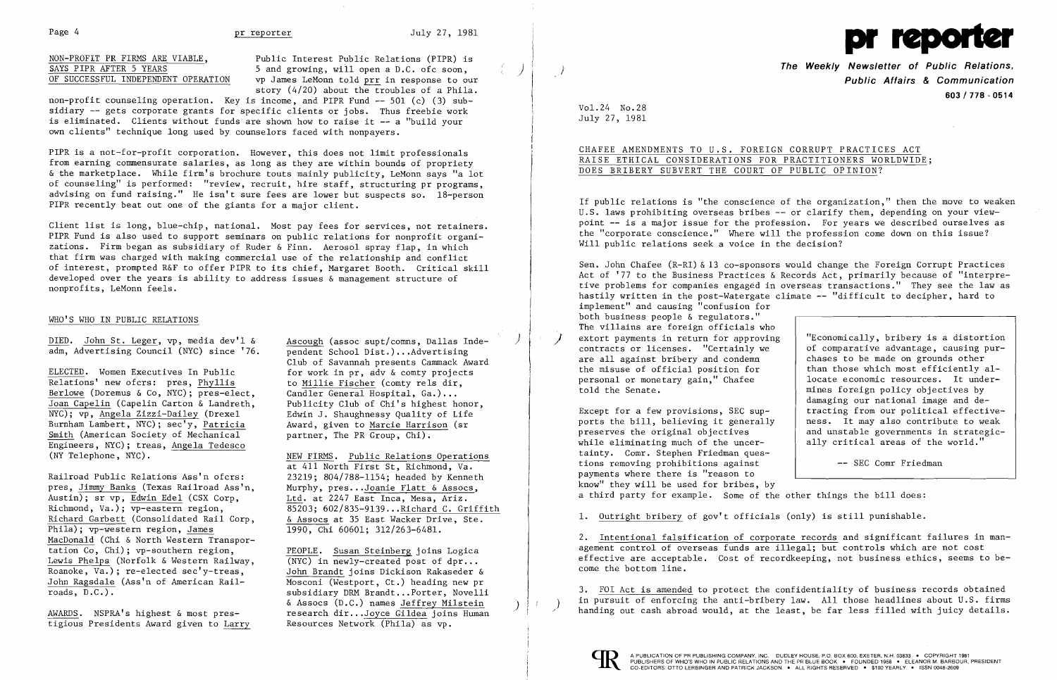

NON-PROFIT PR FIRMS ARE VIABLE,<br>
SAYS PIPR AFTER 5 YEARS 5 3000 5 and growing, will open a D.C. of c soon, vp James LeMonn told prr in response to our story (4/20) about the troubles of a Phila.

non-profit counseling operation. Key is income, and PIPR Fund -- 501 (c) (3) subsidiary -- gets corporate grants for specific clients or jobs. Thus freebie work is eliminated. Clients without funds are shown how to raise it -- a "build your own clients" technique long used by counselors faced with nonpayers.

PIPR is a not-for-profit corporation. However, this does not limit professionals from earning commensurate salaries, as long as they are within bounds of propriety & the marketplace. While firm's brochure touts mainly publicity, LeMonn says "a lot of counseling" is performed: "review, recruit, hire staff, structuring pr programs, advising on fund raising." He isn't sure fees are lower but suspects so. 18-person PIPR recently beat out one of the giants for a major client.

ELECTED. Women Executives In Public for work in pr, gdv & comty projects Relations' new ofcrs: pres,  $\frac{Phy11is}{pres-elect}$  to Millie Fischer (comty rels dir, Berlowe (Doremus & Co, NYC); pres-elect, Candler General Hospital, Ga.)... Berlowe (Doremus & Co, NYC); pres-elect, Candler General Hospital, Ga.)...<br>Joan Capelin (Capelin Carton & Landreth, Publicity Club of Chi's highest honor, Joan Capelin (Capelin Carton & Landreth, NYC); vp, <u>Angela Zizzi-Dailey</u> (Drexel Edwin J. Shaughnessy Quality of Life Burnham Lambert, NYC); sec'y, Patricia Award, given to Marcie Harrison (sr Burnham Lambert, NYC); sec'y, Patricia Smith (American Society of Mechanical partner, The PR Group, Chi). Engineers, NYC); treas, Angela Tedesco (NY Telephone, NYC). The South South Section Section NEW FIRMS. Public Relations Operations

Railroad Public Relations Ass'n ofcrs: 23219; 804/788-1154; headed by Kenneth<br>pres, Jimmy Banks (Texas Railroad Ass'n, Murphy, pres...Joanie Flatt & Assocs, pres, Jimmy Banks (Texas Railroad Ass'n, Murphy, pres...Joanie Flatt & Assocs, Austin); sr vp, Edwin Edel (CSX Corp, Ltd. at 2247 East Inca. Mesa, Ariz. Austin); sr vp, Edwin Edel (CSX Corp, Ltd. at 2247 East Inca, Mesa, Ariz.<br>Richmond, Va.); vp-eastern region, 35203: 602/835-9139...Richard C. Gr: Richard Garbett (Consolidated Rail Corp,  $\frac{6 \text{ Assocs}}{1990, \text{ Chi}}$  60601; 312/263-6481. Phila); vp-western region, James MacDonald (Chi & North Western Transportation Co, Chi); vp-southern region,<br>Lewis Phelps (Norfolk & Western Railway,  $\overline{(\text{NYC})}$  in newly-created post of dpr... Lewis Phelps (Norfolk & Western Railway,  $\overline{\text{Roanoke}}$ , Va.); re-elected sec'y-treas. John Ragsdale (Ass'n of American Rail-<br>roads, D.C.).

at 411 North First St, Richmond, Va. 85203; 602/835-9139... Richard C. Griffith<br> $\&$  Assocs at 35 East Wacker Drive. Ste.

John Brandt joins Dickison Rakaseder &<br>Mosconi (Westport, Ct.) heading new pr subsidiary DRM Brandt...Porter, Novelli<br>& Assocs (D.C.) names Jeffrey Milstein AWARDS. NSPRA's highest & most pres-<br>research dir...Joyce Gildea joins Human

Client list is long, blue-chip, national. Most pay fees for services, not retainers. PIPR Fund is also used to support seminars on public relations for nonprofit organizations. Firm began as subsidiary of Ruder & Finn. Aerosol spray flap, in which that firm was charged with making commercial use of the relationship and conflict of interest, prompted R&F to offer PIPR to its chief, Margaret Booth. Critical skill developed over the years is ability to address issues & management structure of nonprofits, LeMonn feels.

## WHO'S WHO IN PUBLIC RELATIONS

DIED. John St. Leger,  $vp$ , media dev'l  $\&$  Ascough (assoc supt/comns, Dallas Indeadm, Advertising Council (NYC) since '76. pendent School Dist.)...Advertising

SAYS PIPR AFTER 5 YEARS 5 AND SALLY STATE TO SELLING THE MULTIMATER CONTROLLED AND THE Weekly Newsletter of Public Relations,  $\frac{1}{\sqrt{3}}$  (SHERS THE WEEKLY NEWSLET OF Public Relations,  $\frac{1}{\sqrt{3}}$  of SUCCESSFUL INDEPEND 603/178 - 0514

Club of Savannah presents Cammack Award

Sen. John Chafee (R-RI) &13 co-sponsors would change the Foreign Corrupt Practices Act of '77 to the Business Practices & Records Act, primarily because of "interpretive problems for companies engaged in overseas transactions." They see the law as hastily written in the post-Watergate climate -- "difficult to decipher, hard to implement" and causing "confusion for both business people & regulators." The villains are foreign officials who extort payments in return for approving  $\vert$  "Economically, bribery is a distortion contracts or licenses. "Certainly we  $\vert$  of comparative advantage, causing purare all against bribery and condemn<br>the misuse of official position for contracts or licenses. "Certainly we chases to be made on grounds other than those which most efficiently al-<br>locate economic resources. It underpersonal or monetary gain," Chafee told the Senate. mines foreign policy objectives by damaging our national image and de-Except for a few provisions, SEC sup-<br>ports the bill, believing it generally  $\begin{array}{|l|l|}\n\end{array}$  ress. It may also contribute to weak ports the bill, believing it generally  $\begin{array}{|l|l|}$  ness. It may also contribute to weak<br>preserves the original objectives and unstable governments in strategicand unstable governments in strategicwhile eliminating much of the uncer-  $\vert$  ally critical areas of the world."

tigious Presidents Award given to Larry Resources Network (Phila) as vp.

Vol. 24 No.28 July 27, 1981

# CHAFEE AMENDMENTS TO U.S. FOREIGN CORRUPT PRACTICES ACT RAISE ETHICAL CONSIDERATIONS FOR PRACTITIONERS WORLDWIDE; DOES BRIBERY SUBVERT THE COURT OF PUBLIC OPINION?

If public relations is "the conscience of the organization," then the move to weaken U.S. laws prohibiting overseas bribes -- or clarify them, depending on your viewpoint -- is a major issue for the profession. For years we described ourselves as the "corporate conscience." Where will the profession come down on this issue? Will public relations seek a voice in the decision?

tainty. Comr. Stephen Friedman questions removing prohibitions against -- SEC Comr Friedman payments where there is "reason to know" they will be used for bribes, by a third party for example. Some of the other things the bill does:

1. Outright bribery of gov't officials (only) is still punishable.

2. Intentional falsification of corporate records and significant failures in management control of overseas funds are illegal; but controls which are not cost effective are acceptable. Cost of recordkeeping, not business ethics, seems to become the bottom line.

3. FOI Act is amended to protect the confidentiality of business records obtained in pursuit of enforcing the anti-bribery law. All those headlines about U.S. firms handing out cash abroad would, at the least, be far less filled with juicy details.